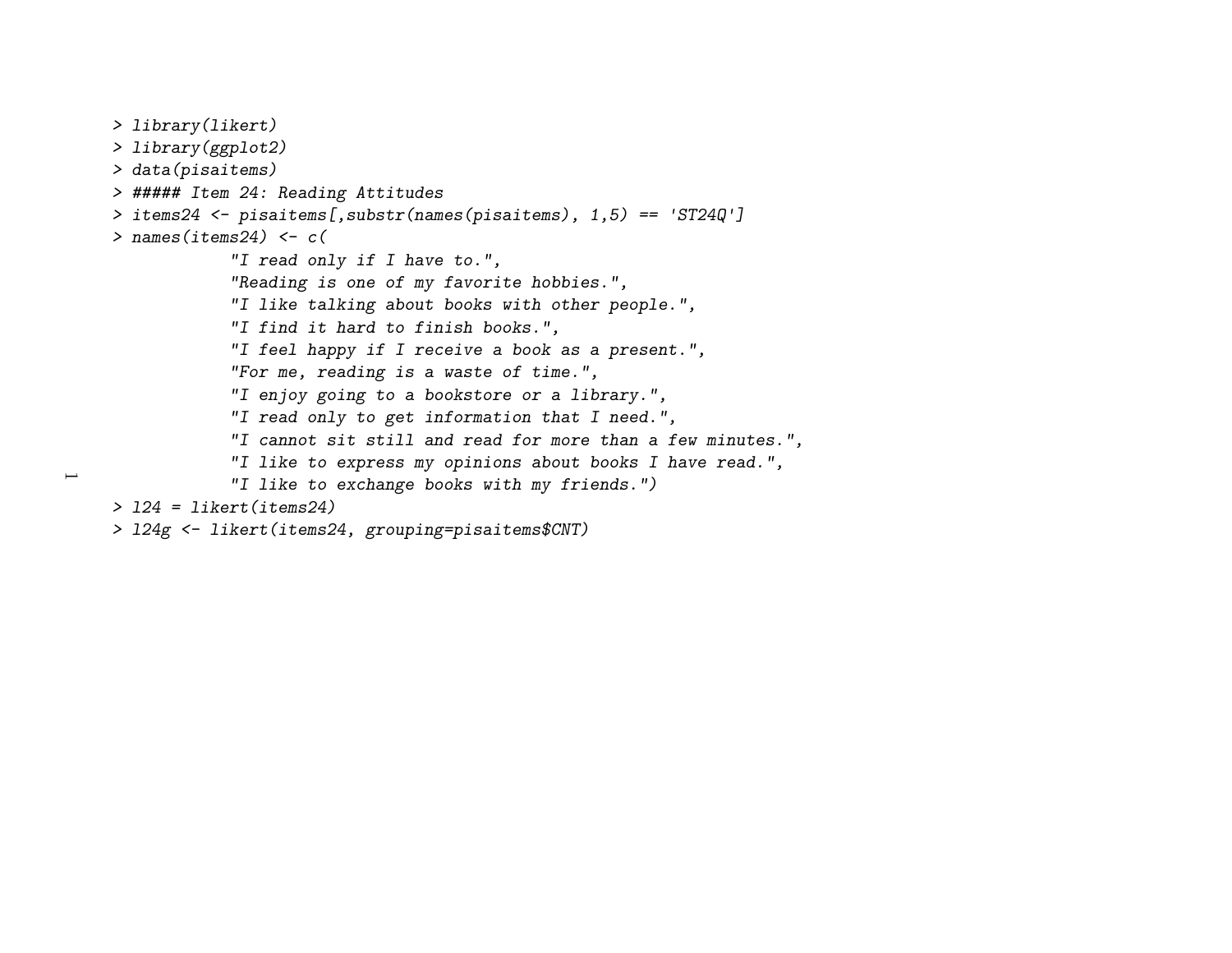```
> library(likert)
> library(ggplot2)
> data(pisaitems)
> ##### Item 24: Reading Attitudes
> items24 <- pisaitems[,substr(names(pisaitems), 1,5) == 'ST24Q']
> names(items24) <- c(
"I read only if I have to.",
"Reading is one of my favorite hobbies.",
"I like talking about books with other people.","I find it hard to finish books.",
"I feel happy if I receive a book as a present.","For me, reading is a waste of time.",
"I enjoy going to a bookstore or a library.",
"I read only to get information that I need.",
"I cannot sit still and read for more than a few minutes.","I like to express my opinions about books I have read.","I like to exchange books with my friends.")> l24 = likert(items24)
```

```

> l24g <- likert(items24, grouping=pisaitems$CNT)
```
 $\overline{\phantom{0}}$